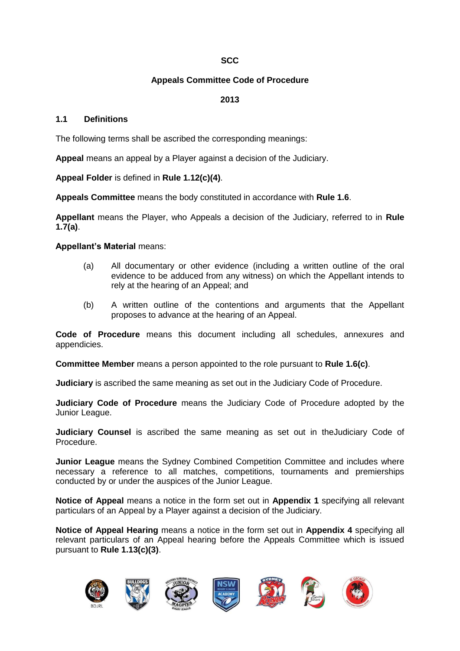## **SCC**

## **Appeals Committee Code of Procedure**

## **2013**

#### **1.1 Definitions**

The following terms shall be ascribed the corresponding meanings:

**Appeal** means an appeal by a Player against a decision of the Judiciary.

**Appeal Folder** is defined in **Rule 1.12(c)(4)**.

**Appeals Committee** means the body constituted in accordance with **Rule 1.6**.

**Appellant** means the Player, who Appeals a decision of the Judiciary, referred to in **Rule 1.7(a)**.

#### **Appellant's Material** means:

- (a) All documentary or other evidence (including a written outline of the oral evidence to be adduced from any witness) on which the Appellant intends to rely at the hearing of an Appeal; and
- (b) A written outline of the contentions and arguments that the Appellant proposes to advance at the hearing of an Appeal.

**Code of Procedure** means this document including all schedules, annexures and appendicies.

**Committee Member** means a person appointed to the role pursuant to **Rule 1.6(c)**.

**Judiciary** is ascribed the same meaning as set out in the Judiciary Code of Procedure.

**Judiciary Code of Procedure** means the Judiciary Code of Procedure adopted by the Junior League.

**Judiciary Counsel** is ascribed the same meaning as set out in theJudiciary Code of Procedure.

**Junior League** means the Sydney Combined Competition Committee and includes where necessary a reference to all matches, competitions, tournaments and premierships conducted by or under the auspices of the Junior League.

**Notice of Appeal** means a notice in the form set out in **Appendix 1** specifying all relevant particulars of an Appeal by a Player against a decision of the Judiciary.

**Notice of Appeal Hearing** means a notice in the form set out in **Appendix 4** specifying all relevant particulars of an Appeal hearing before the Appeals Committee which is issued pursuant to **Rule 1.13(c)(3)**.

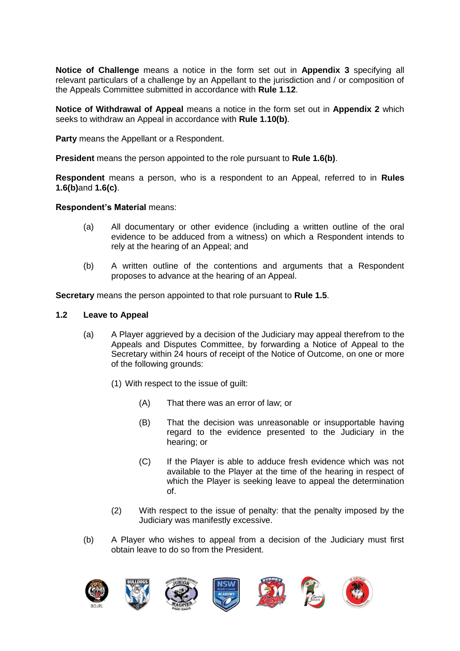**Notice of Challenge** means a notice in the form set out in **Appendix 3** specifying all relevant particulars of a challenge by an Appellant to the jurisdiction and / or composition of the Appeals Committee submitted in accordance with **Rule 1.12**.

**Notice of Withdrawal of Appeal** means a notice in the form set out in **Appendix 2** which seeks to withdraw an Appeal in accordance with **Rule 1.10(b)**.

**Party** means the Appellant or a Respondent.

**President** means the person appointed to the role pursuant to **Rule 1.6(b)**.

**Respondent** means a person, who is a respondent to an Appeal, referred to in **Rules 1.6(b)**and **1.6(c)**.

#### **Respondent's Material** means:

- (a) All documentary or other evidence (including a written outline of the oral evidence to be adduced from a witness) on which a Respondent intends to rely at the hearing of an Appeal; and
- (b) A written outline of the contentions and arguments that a Respondent proposes to advance at the hearing of an Appeal.

**Secretary** means the person appointed to that role pursuant to **Rule 1.5**.

#### **1.2 Leave to Appeal**

- (a) A Player aggrieved by a decision of the Judiciary may appeal therefrom to the Appeals and Disputes Committee, by forwarding a Notice of Appeal to the Secretary within 24 hours of receipt of the Notice of Outcome, on one or more of the following grounds:
	- (1) With respect to the issue of guilt:
		- (A) That there was an error of law; or
		- (B) That the decision was unreasonable or insupportable having regard to the evidence presented to the Judiciary in the hearing; or
		- (C) If the Player is able to adduce fresh evidence which was not available to the Player at the time of the hearing in respect of which the Player is seeking leave to appeal the determination of.
	- (2) With respect to the issue of penalty: that the penalty imposed by the Judiciary was manifestly excessive.
- (b) A Player who wishes to appeal from a decision of the Judiciary must first obtain leave to do so from the President.

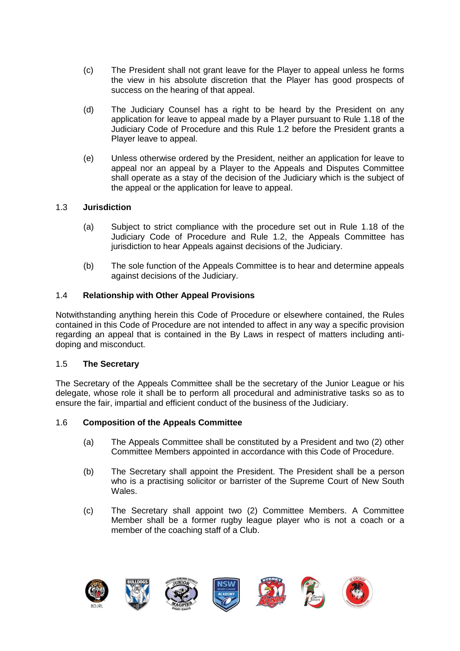- (c) The President shall not grant leave for the Player to appeal unless he forms the view in his absolute discretion that the Player has good prospects of success on the hearing of that appeal.
- (d) The Judiciary Counsel has a right to be heard by the President on any application for leave to appeal made by a Player pursuant to Rule 1.18 of the Judiciary Code of Procedure and this Rule 1.2 before the President grants a Player leave to appeal.
- (e) Unless otherwise ordered by the President, neither an application for leave to appeal nor an appeal by a Player to the Appeals and Disputes Committee shall operate as a stay of the decision of the Judiciary which is the subject of the appeal or the application for leave to appeal.

## 1.3 **Jurisdiction**

- (a) Subject to strict compliance with the procedure set out in Rule 1.18 of the Judiciary Code of Procedure and Rule 1.2, the Appeals Committee has jurisdiction to hear Appeals against decisions of the Judiciary.
- (b) The sole function of the Appeals Committee is to hear and determine appeals against decisions of the Judiciary.

## 1.4 **Relationship with Other Appeal Provisions**

Notwithstanding anything herein this Code of Procedure or elsewhere contained, the Rules contained in this Code of Procedure are not intended to affect in any way a specific provision regarding an appeal that is contained in the By Laws in respect of matters including antidoping and misconduct.

#### 1.5 **The Secretary**

The Secretary of the Appeals Committee shall be the secretary of the Junior League or his delegate, whose role it shall be to perform all procedural and administrative tasks so as to ensure the fair, impartial and efficient conduct of the business of the Judiciary.

#### 1.6 **Composition of the Appeals Committee**

- (a) The Appeals Committee shall be constituted by a President and two (2) other Committee Members appointed in accordance with this Code of Procedure.
- (b) The Secretary shall appoint the President. The President shall be a person who is a practising solicitor or barrister of the Supreme Court of New South Wales.
- (c) The Secretary shall appoint two (2) Committee Members. A Committee Member shall be a former rugby league player who is not a coach or a member of the coaching staff of a Club.

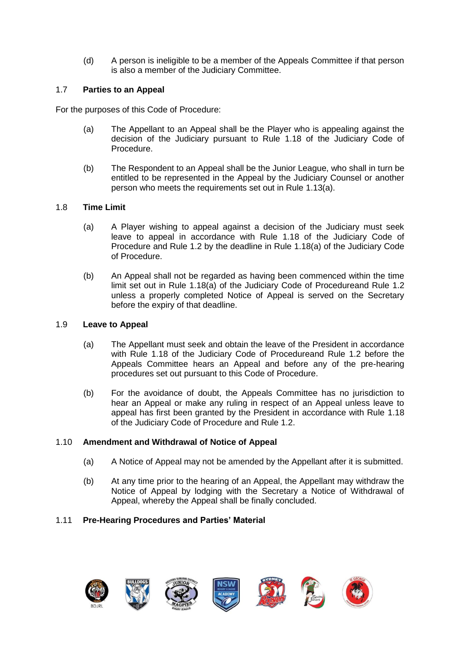(d) A person is ineligible to be a member of the Appeals Committee if that person is also a member of the Judiciary Committee.

## 1.7 **Parties to an Appeal**

For the purposes of this Code of Procedure:

- (a) The Appellant to an Appeal shall be the Player who is appealing against the decision of the Judiciary pursuant to Rule 1.18 of the Judiciary Code of Procedure.
- (b) The Respondent to an Appeal shall be the Junior League, who shall in turn be entitled to be represented in the Appeal by the Judiciary Counsel or another person who meets the requirements set out in Rule 1.13(a).

## 1.8 **Time Limit**

- (a) A Player wishing to appeal against a decision of the Judiciary must seek leave to appeal in accordance with Rule 1.18 of the Judiciary Code of Procedure and Rule 1.2 by the deadline in Rule 1.18(a) of the Judiciary Code of Procedure.
- (b) An Appeal shall not be regarded as having been commenced within the time limit set out in Rule 1.18(a) of the Judiciary Code of Procedureand Rule 1.2 unless a properly completed Notice of Appeal is served on the Secretary before the expiry of that deadline.

### 1.9 **Leave to Appeal**

- (a) The Appellant must seek and obtain the leave of the President in accordance with Rule 1.18 of the Judiciary Code of Procedureand Rule 1.2 before the Appeals Committee hears an Appeal and before any of the pre-hearing procedures set out pursuant to this Code of Procedure.
- (b) For the avoidance of doubt, the Appeals Committee has no jurisdiction to hear an Appeal or make any ruling in respect of an Appeal unless leave to appeal has first been granted by the President in accordance with Rule 1.18 of the Judiciary Code of Procedure and Rule 1.2.

#### 1.10 **Amendment and Withdrawal of Notice of Appeal**

- (a) A Notice of Appeal may not be amended by the Appellant after it is submitted.
- (b) At any time prior to the hearing of an Appeal, the Appellant may withdraw the Notice of Appeal by lodging with the Secretary a Notice of Withdrawal of Appeal, whereby the Appeal shall be finally concluded.

## 1.11 **Pre-Hearing Procedures and Parties' Material**

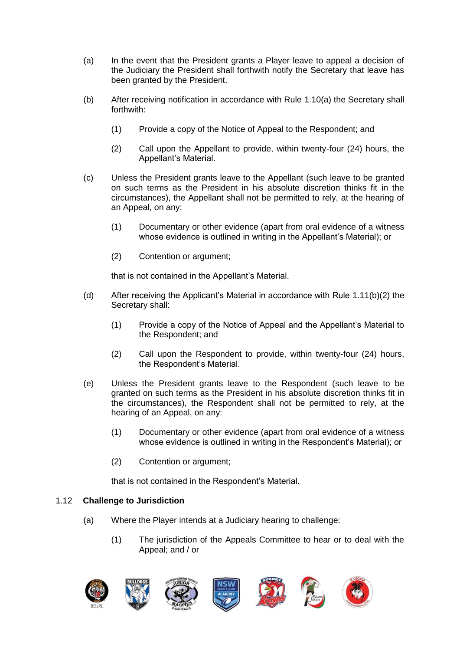- (a) In the event that the President grants a Player leave to appeal a decision of the Judiciary the President shall forthwith notify the Secretary that leave has been granted by the President.
- (b) After receiving notification in accordance with Rule 1.10(a) the Secretary shall forthwith:
	- (1) Provide a copy of the Notice of Appeal to the Respondent; and
	- (2) Call upon the Appellant to provide, within twenty-four (24) hours, the Appellant's Material.
- (c) Unless the President grants leave to the Appellant (such leave to be granted on such terms as the President in his absolute discretion thinks fit in the circumstances), the Appellant shall not be permitted to rely, at the hearing of an Appeal, on any:
	- (1) Documentary or other evidence (apart from oral evidence of a witness whose evidence is outlined in writing in the Appellant's Material); or
	- (2) Contention or argument;

that is not contained in the Appellant's Material.

- (d) After receiving the Applicant's Material in accordance with Rule 1.11(b)(2) the Secretary shall:
	- (1) Provide a copy of the Notice of Appeal and the Appellant's Material to the Respondent; and
	- (2) Call upon the Respondent to provide, within twenty-four (24) hours, the Respondent's Material.
- (e) Unless the President grants leave to the Respondent (such leave to be granted on such terms as the President in his absolute discretion thinks fit in the circumstances), the Respondent shall not be permitted to rely, at the hearing of an Appeal, on any:
	- (1) Documentary or other evidence (apart from oral evidence of a witness whose evidence is outlined in writing in the Respondent's Material); or
	- (2) Contention or argument;

that is not contained in the Respondent's Material.

#### 1.12 **Challenge to Jurisdiction**

- (a) Where the Player intends at a Judiciary hearing to challenge:
	- (1) The jurisdiction of the Appeals Committee to hear or to deal with the Appeal; and / or

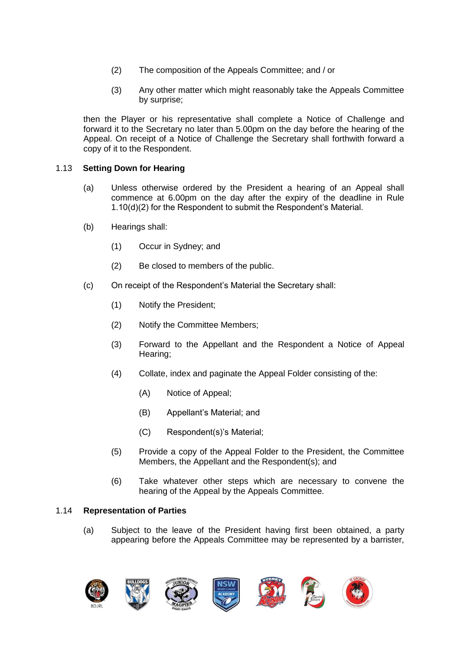- (2) The composition of the Appeals Committee; and / or
- (3) Any other matter which might reasonably take the Appeals Committee by surprise;

then the Player or his representative shall complete a Notice of Challenge and forward it to the Secretary no later than 5.00pm on the day before the hearing of the Appeal. On receipt of a Notice of Challenge the Secretary shall forthwith forward a copy of it to the Respondent.

## 1.13 **Setting Down for Hearing**

- (a) Unless otherwise ordered by the President a hearing of an Appeal shall commence at 6.00pm on the day after the expiry of the deadline in Rule 1.10(d)(2) for the Respondent to submit the Respondent's Material.
- (b) Hearings shall:
	- (1) Occur in Sydney; and
	- (2) Be closed to members of the public.
- (c) On receipt of the Respondent's Material the Secretary shall:
	- (1) Notify the President;
	- (2) Notify the Committee Members;
	- (3) Forward to the Appellant and the Respondent a Notice of Appeal Hearing;
	- (4) Collate, index and paginate the Appeal Folder consisting of the:
		- (A) Notice of Appeal;
		- (B) Appellant's Material; and
		- (C) Respondent(s)'s Material;
	- (5) Provide a copy of the Appeal Folder to the President, the Committee Members, the Appellant and the Respondent(s); and
	- (6) Take whatever other steps which are necessary to convene the hearing of the Appeal by the Appeals Committee.

#### 1.14 **Representation of Parties**

(a) Subject to the leave of the President having first been obtained, a party appearing before the Appeals Committee may be represented by a barrister,

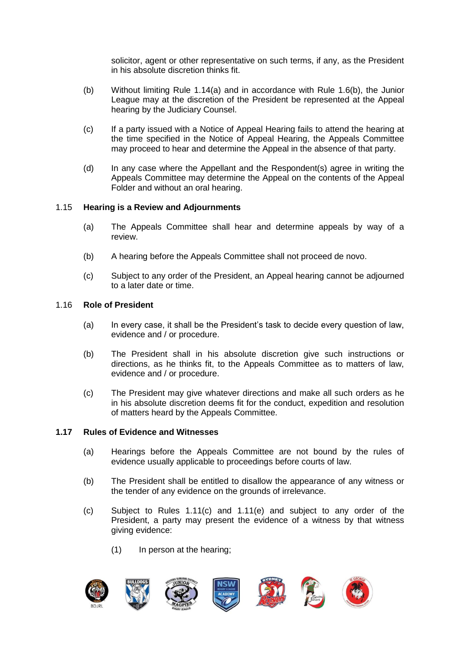solicitor, agent or other representative on such terms, if any, as the President in his absolute discretion thinks fit.

- (b) Without limiting Rule 1.14(a) and in accordance with Rule 1.6(b), the Junior League may at the discretion of the President be represented at the Appeal hearing by the Judiciary Counsel.
- (c) If a party issued with a Notice of Appeal Hearing fails to attend the hearing at the time specified in the Notice of Appeal Hearing, the Appeals Committee may proceed to hear and determine the Appeal in the absence of that party.
- (d) In any case where the Appellant and the Respondent(s) agree in writing the Appeals Committee may determine the Appeal on the contents of the Appeal Folder and without an oral hearing.

#### 1.15 **Hearing is a Review and Adjournments**

- (a) The Appeals Committee shall hear and determine appeals by way of a review.
- (b) A hearing before the Appeals Committee shall not proceed de novo.
- (c) Subject to any order of the President, an Appeal hearing cannot be adjourned to a later date or time.

#### 1.16 **Role of President**

- (a) In every case, it shall be the President's task to decide every question of law, evidence and / or procedure.
- (b) The President shall in his absolute discretion give such instructions or directions, as he thinks fit, to the Appeals Committee as to matters of law, evidence and / or procedure.
- (c) The President may give whatever directions and make all such orders as he in his absolute discretion deems fit for the conduct, expedition and resolution of matters heard by the Appeals Committee.

#### **1.17 Rules of Evidence and Witnesses**

- (a) Hearings before the Appeals Committee are not bound by the rules of evidence usually applicable to proceedings before courts of law.
- (b) The President shall be entitled to disallow the appearance of any witness or the tender of any evidence on the grounds of irrelevance.
- (c) Subject to Rules 1.11(c) and 1.11(e) and subject to any order of the President, a party may present the evidence of a witness by that witness giving evidence:
	- (1) In person at the hearing;

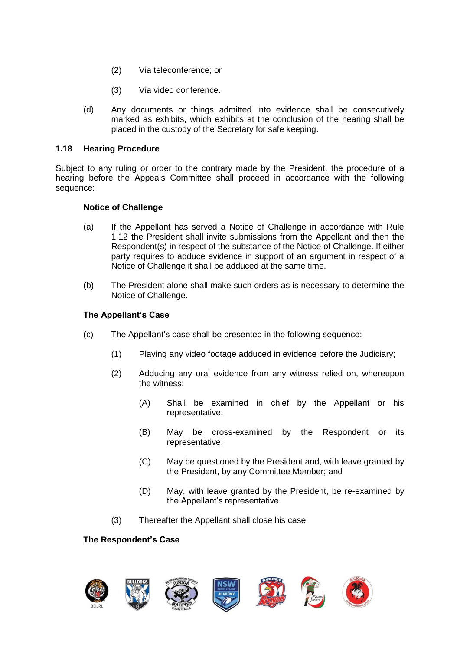- (2) Via teleconference; or
- (3) Via video conference.
- (d) Any documents or things admitted into evidence shall be consecutively marked as exhibits, which exhibits at the conclusion of the hearing shall be placed in the custody of the Secretary for safe keeping.

#### **1.18 Hearing Procedure**

Subject to any ruling or order to the contrary made by the President, the procedure of a hearing before the Appeals Committee shall proceed in accordance with the following sequence:

#### **Notice of Challenge**

- (a) If the Appellant has served a Notice of Challenge in accordance with Rule 1.12 the President shall invite submissions from the Appellant and then the Respondent(s) in respect of the substance of the Notice of Challenge. If either party requires to adduce evidence in support of an argument in respect of a Notice of Challenge it shall be adduced at the same time.
- (b) The President alone shall make such orders as is necessary to determine the Notice of Challenge.

## **The Appellant's Case**

- (c) The Appellant's case shall be presented in the following sequence:
	- (1) Playing any video footage adduced in evidence before the Judiciary;
	- (2) Adducing any oral evidence from any witness relied on, whereupon the witness:
		- (A) Shall be examined in chief by the Appellant or his representative;
		- (B) May be cross-examined by the Respondent or its representative;
		- (C) May be questioned by the President and, with leave granted by the President, by any Committee Member; and
		- (D) May, with leave granted by the President, be re-examined by the Appellant's representative.
	- (3) Thereafter the Appellant shall close his case.

#### **The Respondent's Case**

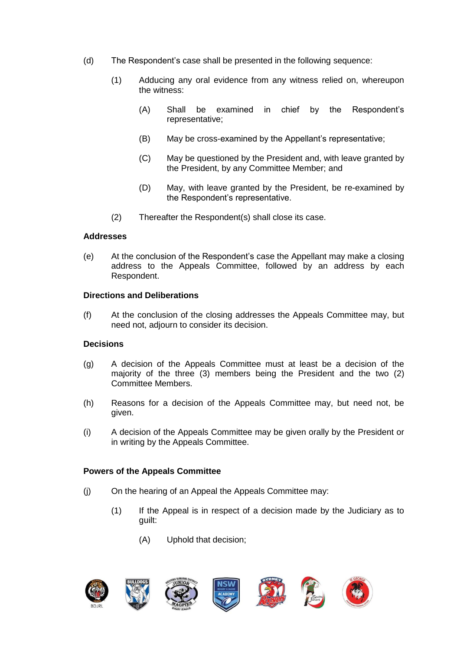- (d) The Respondent's case shall be presented in the following sequence:
	- (1) Adducing any oral evidence from any witness relied on, whereupon the witness:
		- (A) Shall be examined in chief by the Respondent's representative;
		- (B) May be cross-examined by the Appellant's representative;
		- (C) May be questioned by the President and, with leave granted by the President, by any Committee Member; and
		- (D) May, with leave granted by the President, be re-examined by the Respondent's representative.
	- (2) Thereafter the Respondent(s) shall close its case.

## **Addresses**

(e) At the conclusion of the Respondent's case the Appellant may make a closing address to the Appeals Committee, followed by an address by each Respondent.

## **Directions and Deliberations**

(f) At the conclusion of the closing addresses the Appeals Committee may, but need not, adjourn to consider its decision.

## **Decisions**

- (g) A decision of the Appeals Committee must at least be a decision of the majority of the three (3) members being the President and the two (2) Committee Members.
- (h) Reasons for a decision of the Appeals Committee may, but need not, be given.
- (i) A decision of the Appeals Committee may be given orally by the President or in writing by the Appeals Committee.

#### **Powers of the Appeals Committee**

- (j) On the hearing of an Appeal the Appeals Committee may:
	- (1) If the Appeal is in respect of a decision made by the Judiciary as to guilt:
		- (A) Uphold that decision;

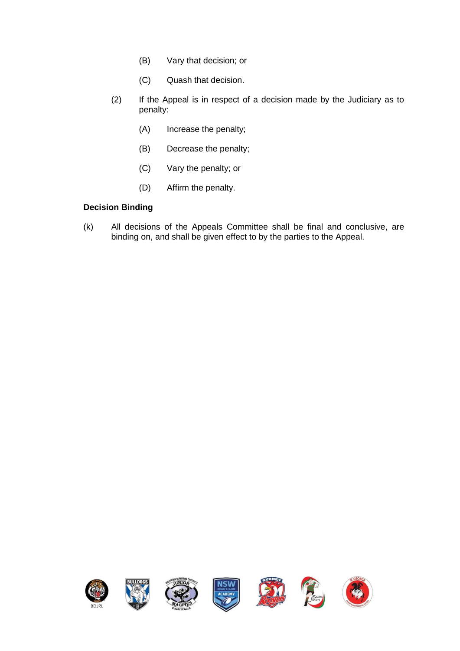- (B) Vary that decision; or
- (C) Quash that decision.
- (2) If the Appeal is in respect of a decision made by the Judiciary as to penalty:
	- (A) Increase the penalty;
	- (B) Decrease the penalty;
	- (C) Vary the penalty; or
	- (D) Affirm the penalty.

## **Decision Binding**

(k) All decisions of the Appeals Committee shall be final and conclusive, are binding on, and shall be given effect to by the parties to the Appeal.

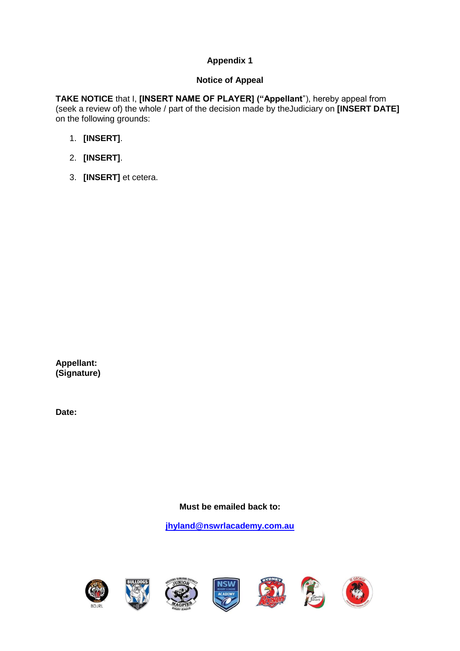## **Notice of Appeal**

**TAKE NOTICE** that I, **[INSERT NAME OF PLAYER] ("Appellant**"), hereby appeal from (seek a review of) the whole / part of the decision made by theJudiciary on **[INSERT DATE]** on the following grounds:

- 1. **[INSERT]**.
- 2. **[INSERT]**.
- 3. **[INSERT]** et cetera.

**Appellant: (Signature)**

**Date:**

**Must be emailed back to:** 

**[jhyland@nswrlacademy.com.au](mailto:jhyland@nswrlacademy.com.au)**













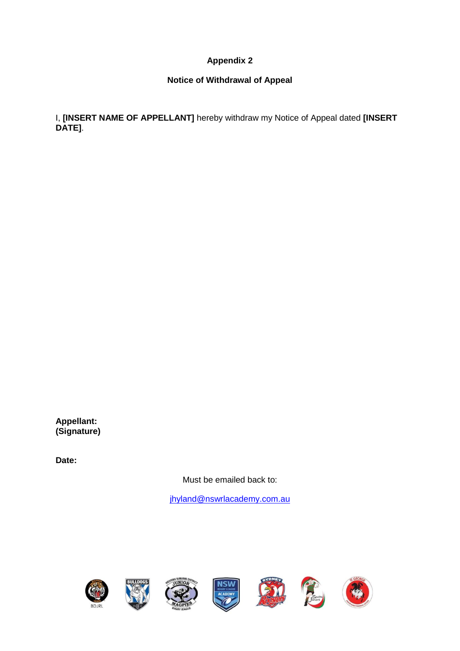## **Notice of Withdrawal of Appeal**

I, **[INSERT NAME OF APPELLANT]** hereby withdraw my Notice of Appeal dated **[INSERT DATE]**.

**Appellant: (Signature)**

**Date:**

Must be emailed back to:

[jhyland@nswrlacademy.com.au](mailto:jhyland@nswrlacademy.com.au)















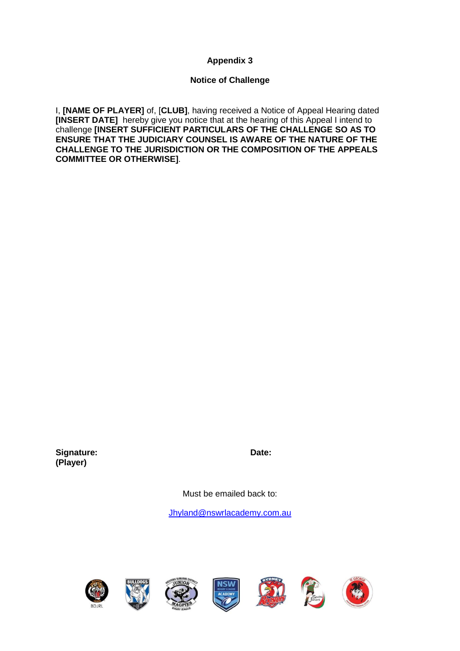## **Notice of Challenge**

I, **[NAME OF PLAYER]** of, [**CLUB]**, having received a Notice of Appeal Hearing dated **[INSERT DATE]** hereby give you notice that at the hearing of this Appeal I intend to challenge **[INSERT SUFFICIENT PARTICULARS OF THE CHALLENGE SO AS TO ENSURE THAT THE JUDICIARY COUNSEL IS AWARE OF THE NATURE OF THE CHALLENGE TO THE JURISDICTION OR THE COMPOSITION OF THE APPEALS COMMITTEE OR OTHERWISE]**.

**Signature: Date: (Player)**

Must be emailed back to:

[Jhyland@nswrlacademy.com.au](mailto:Jhyland@nswrlacademy.com.au)